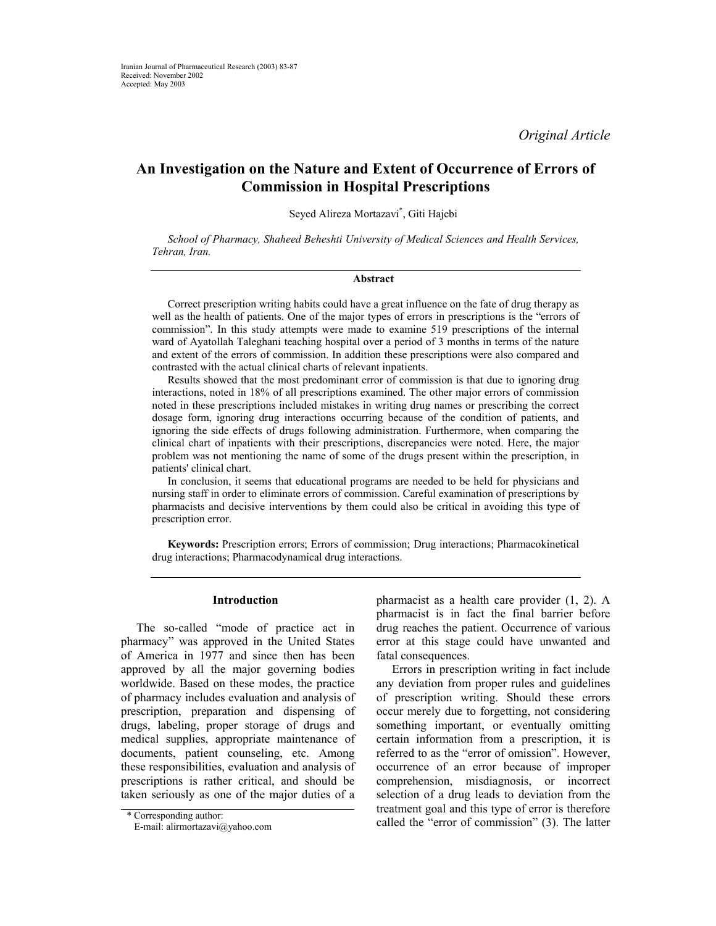*Original Article* 

# **An Investigation on the Nature and Extent of Occurrence of Errors of Commission in Hospital Prescriptions**

Seyed Alireza Mortazavi\* , Giti Hajebi

*School of Pharmacy, Shaheed Beheshti University of Medical Sciences and Health Services, Tehran, Iran.*

### **Abstract**

Correct prescription writing habits could have a great influence on the fate of drug therapy as well as the health of patients. One of the major types of errors in prescriptions is the "errors of commission". In this study attempts were made to examine 519 prescriptions of the internal ward of Ayatollah Taleghani teaching hospital over a period of 3 months in terms of the nature and extent of the errors of commission. In addition these prescriptions were also compared and contrasted with the actual clinical charts of relevant inpatients.

Results showed that the most predominant error of commission is that due to ignoring drug interactions, noted in 18% of all prescriptions examined. The other major errors of commission noted in these prescriptions included mistakes in writing drug names or prescribing the correct dosage form, ignoring drug interactions occurring because of the condition of patients, and ignoring the side effects of drugs following administration. Furthermore, when comparing the clinical chart of inpatients with their prescriptions, discrepancies were noted. Here, the major problem was not mentioning the name of some of the drugs present within the prescription, in patients' clinical chart.

In conclusion, it seems that educational programs are needed to be held for physicians and nursing staff in order to eliminate errors of commission. Careful examination of prescriptions by pharmacists and decisive interventions by them could also be critical in avoiding this type of prescription error.

**Keywords:** Prescription errors; Errors of commission; Drug interactions; Pharmacokinetical drug interactions; Pharmacodynamical drug interactions.

## **Introduction**

The so-called "mode of practice act in pharmacy" was approved in the United States of America in 1977 and since then has been approved by all the major governing bodies worldwide. Based on these modes, the practice of pharmacy includes evaluation and analysis of prescription, preparation and dispensing of drugs, labeling, proper storage of drugs and medical supplies, appropriate maintenance of documents, patient counseling, etc. Among these responsibilities, evaluation and analysis of prescriptions is rather critical, and should be taken seriously as one of the major duties of a

pharmacist as a health care provider (1, 2). A pharmacist is in fact the final barrier before drug reaches the patient. Occurrence of various error at this stage could have unwanted and fatal consequences.

Errors in prescription writing in fact include any deviation from proper rules and guidelines of prescription writing. Should these errors occur merely due to forgetting, not considering something important, or eventually omitting certain information from a prescription, it is referred to as the "error of omission". However, occurrence of an error because of improper comprehension, misdiagnosis, or incorrect selection of a drug leads to deviation from the treatment goal and this type of error is therefore \* Corresponding author:<br>
E-mail: alirmortazavi@vahoo.com called the "error of commission" (3). The latter

E-mail: alirmortazavi@yahoo.com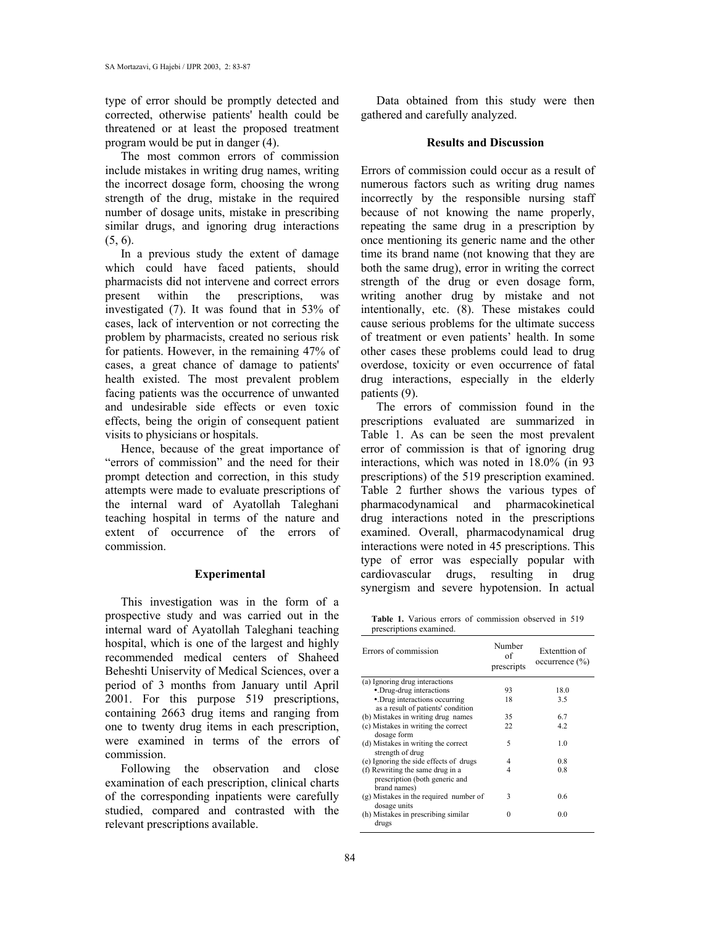type of error should be promptly detected and corrected, otherwise patients' health could be threatened or at least the proposed treatment program would be put in danger (4).

The most common errors of commission include mistakes in writing drug names, writing the incorrect dosage form, choosing the wrong strength of the drug, mistake in the required number of dosage units, mistake in prescribing similar drugs, and ignoring drug interactions  $(5, 6)$ .

In a previous study the extent of damage which could have faced patients, should pharmacists did not intervene and correct errors present within the prescriptions, was investigated (7). It was found that in 53% of cases, lack of intervention or not correcting the problem by pharmacists, created no serious risk for patients. However, in the remaining 47% of cases, a great chance of damage to patients' health existed. The most prevalent problem facing patients was the occurrence of unwanted and undesirable side effects or even toxic effects, being the origin of consequent patient visits to physicians or hospitals.

Hence, because of the great importance of "errors of commission" and the need for their prompt detection and correction, in this study attempts were made to evaluate prescriptions of the internal ward of Ayatollah Taleghani teaching hospital in terms of the nature and extent of occurrence of the errors of commission.

#### **Experimental**

This investigation was in the form of a prospective study and was carried out in the internal ward of Ayatollah Taleghani teaching hospital, which is one of the largest and highly recommended medical centers of Shaheed Beheshti Uniservity of Medical Sciences, over a period of 3 months from January until April 2001. For this purpose 519 prescriptions, containing 2663 drug items and ranging from one to twenty drug items in each prescription, were examined in terms of the errors of commission.

Following the observation and close examination of each prescription, clinical charts of the corresponding inpatients were carefully studied, compared and contrasted with the relevant prescriptions available.

Data obtained from this study were then gathered and carefully analyzed.

## **Results and Discussion**

Errors of commission could occur as a result of numerous factors such as writing drug names incorrectly by the responsible nursing staff because of not knowing the name properly, repeating the same drug in a prescription by once mentioning its generic name and the other time its brand name (not knowing that they are both the same drug), error in writing the correct strength of the drug or even dosage form, writing another drug by mistake and not intentionally, etc. (8). These mistakes could cause serious problems for the ultimate success of treatment or even patients' health. In some other cases these problems could lead to drug overdose, toxicity or even occurrence of fatal drug interactions, especially in the elderly patients (9).

The errors of commission found in the prescriptions evaluated are summarized in Table 1. As can be seen the most prevalent error of commission is that of ignoring drug interactions, which was noted in 18.0% (in 93 prescriptions) of the 519 prescription examined. Table 2 further shows the various types of pharmacodynamical and pharmacokinetical drug interactions noted in the prescriptions examined. Overall, pharmacodynamical drug interactions were noted in 45 prescriptions. This type of error was especially popular with cardiovascular drugs, resulting in drug synergism and severe hypotension. In actual

**Table 1.** Various errors of commission observed in 519 prescriptions examined.

| Errors of commission                                                               | Number<br>of<br>prescripts | Extenttion of<br>occurrence (%) |
|------------------------------------------------------------------------------------|----------------------------|---------------------------------|
| (a) Ignoring drug interactions                                                     |                            |                                 |
| • Drug-drug interactions                                                           | 93                         | 18.0                            |
| • Drug interactions occurring                                                      | 18                         | 3.5                             |
| as a result of patients' condition                                                 |                            |                                 |
| (b) Mistakes in writing drug names                                                 | 35                         | 67                              |
| (c) Mistakes in writing the correct<br>dosage form                                 | 22                         | 42                              |
| (d) Mistakes in writing the correct<br>strength of drug                            | 5                          | 1 <sub>0</sub>                  |
| (e) Ignoring the side effects of drugs                                             | 4                          | 0.8                             |
| (f) Rewriting the same drug in a<br>prescription (both generic and<br>brand names) | 4                          | 0.8                             |
| (g) Mistakes in the required number of<br>dosage units                             | 3                          | 06                              |
| (h) Mistakes in prescribing similar<br>drugs                                       | 0                          | 0.0                             |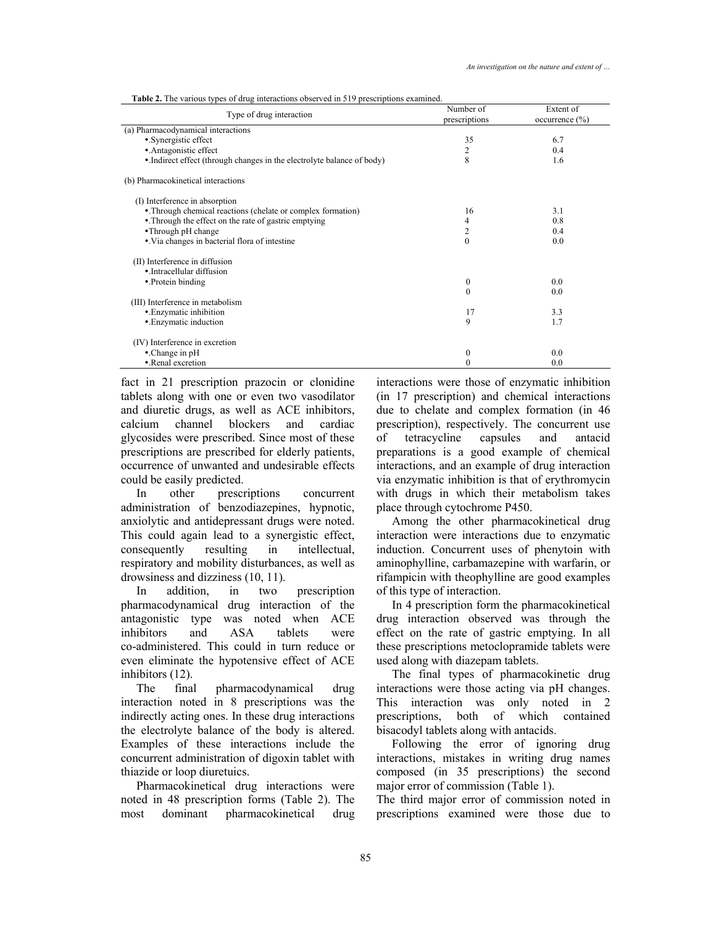| <b>Table 2.</b> The various types of drug interactions observed in 519 prescriptions examined. |  |
|------------------------------------------------------------------------------------------------|--|
|------------------------------------------------------------------------------------------------|--|

| Type of drug interaction                                               | Number of<br>prescriptions | Extent of<br>occurrence (%) |
|------------------------------------------------------------------------|----------------------------|-----------------------------|
| (a) Pharmacodynamical interactions                                     |                            |                             |
| • Synergistic effect                                                   | 35                         | 6.7                         |
| • Antagonistic effect                                                  | 2                          | 0.4                         |
| • Indirect effect (through changes in the electrolyte balance of body) | 8                          | 1.6                         |
| (b) Pharmacokinetical interactions                                     |                            |                             |
| (I) Interference in absorption                                         |                            |                             |
| • Through chemical reactions (chelate or complex formation)            | 16                         | 3.1                         |
| • Through the effect on the rate of gastric emptying                   | 4                          | 0.8                         |
| •Through pH change                                                     | 2                          | 0.4                         |
| • Via changes in bacterial flora of intestine                          | $\theta$                   | 0.0                         |
| (II) Interference in diffusion                                         |                            |                             |
| • Intracellular diffusion                                              |                            |                             |
| • Protein binding                                                      | $\mathbf{0}$               | 0.0                         |
|                                                                        | $\theta$                   | 0.0                         |
| (III) Interference in metabolism                                       |                            |                             |
| • Enzymatic inhibition                                                 | 17                         | 3.3                         |
| • Enzymatic induction                                                  | 9                          | 1.7                         |
| (IV) Interference in excretion                                         |                            |                             |
| $\bullet$ . Change in pH                                               | $\mathbf{0}$               | 0.0                         |
| • Renal excretion                                                      | 0                          | 0.0                         |

fact in 21 prescription prazocin or clonidine tablets along with one or even two vasodilator and diuretic drugs, as well as ACE inhibitors, calcium channel blockers and cardiac glycosides were prescribed. Since most of these prescriptions are prescribed for elderly patients, occurrence of unwanted and undesirable effects could be easily predicted.

In other prescriptions concurrent administration of benzodiazepines, hypnotic, anxiolytic and antidepressant drugs were noted. This could again lead to a synergistic effect, consequently resulting in intellectual, respiratory and mobility disturbances, as well as drowsiness and dizziness (10, 11).

In addition, in two prescription pharmacodynamical drug interaction of the antagonistic type was noted when ACE inhibitors and ASA tablets were co-administered. This could in turn reduce or even eliminate the hypotensive effect of ACE inhibitors (12).

The final pharmacodynamical drug interaction noted in 8 prescriptions was the indirectly acting ones. In these drug interactions the electrolyte balance of the body is altered. Examples of these interactions include the concurrent administration of digoxin tablet with thiazide or loop diuretuics.

Pharmacokinetical drug interactions were noted in 48 prescription forms (Table 2). The most dominant pharmacokinetical drug

interactions were those of enzymatic inhibition (in 17 prescription) and chemical interactions due to chelate and complex formation (in 46 prescription), respectively. The concurrent use of tetracycline capsules and antacid preparations is a good example of chemical interactions, and an example of drug interaction via enzymatic inhibition is that of erythromycin with drugs in which their metabolism takes place through cytochrome P450.

Among the other pharmacokinetical drug interaction were interactions due to enzymatic induction. Concurrent uses of phenytoin with aminophylline, carbamazepine with warfarin, or rifampicin with theophylline are good examples of this type of interaction.

In 4 prescription form the pharmacokinetical drug interaction observed was through the effect on the rate of gastric emptying. In all these prescriptions metoclopramide tablets were used along with diazepam tablets.

The final types of pharmacokinetic drug interactions were those acting via pH changes. This interaction was only noted in 2 prescriptions, both of which contained bisacodyl tablets along with antacids.

Following the error of ignoring drug interactions, mistakes in writing drug names composed (in 35 prescriptions) the second major error of commission (Table 1).

The third major error of commission noted in prescriptions examined were those due to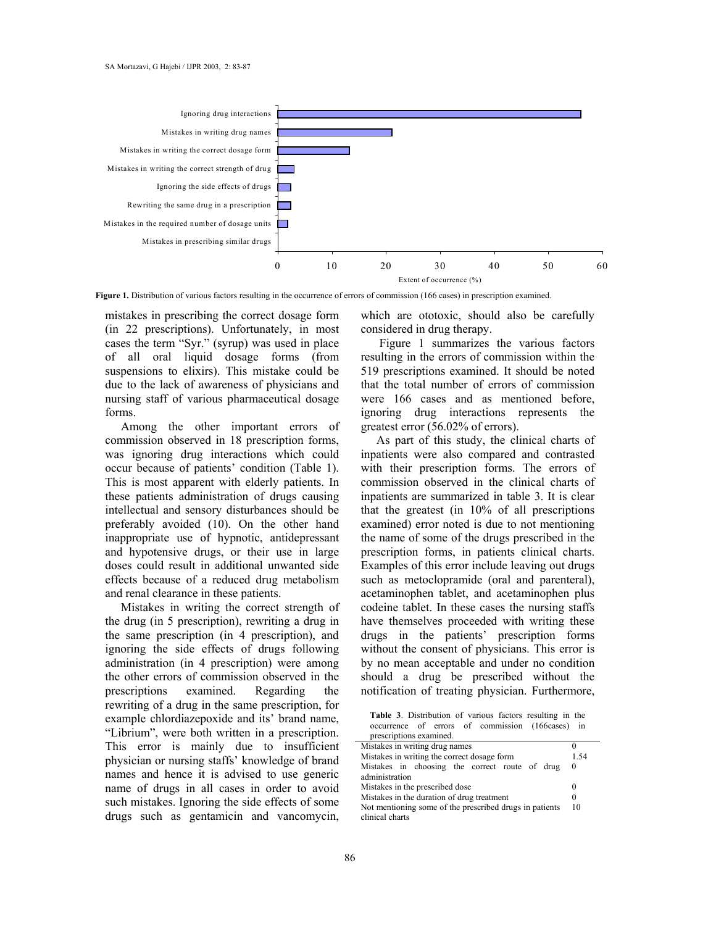

Figure 1. Distribution of various factors resulting in the occurrence of errors of commission (166 cases) in prescription examined.

mistakes in prescribing the correct dosage form (in 22 prescriptions). Unfortunately, in most cases the term "Syr." (syrup) was used in place of all oral liquid dosage forms (from suspensions to elixirs). This mistake could be due to the lack of awareness of physicians and nursing staff of various pharmaceutical dosage forms.

Among the other important errors of commission observed in 18 prescription forms, was ignoring drug interactions which could occur because of patients' condition (Table 1). This is most apparent with elderly patients. In these patients administration of drugs causing intellectual and sensory disturbances should be preferably avoided (10). On the other hand inappropriate use of hypnotic, antidepressant and hypotensive drugs, or their use in large doses could result in additional unwanted side effects because of a reduced drug metabolism and renal clearance in these patients.

Mistakes in writing the correct strength of the drug (in 5 prescription), rewriting a drug in the same prescription (in 4 prescription), and ignoring the side effects of drugs following administration (in 4 prescription) were among the other errors of commission observed in the prescriptions examined. Regarding the rewriting of a drug in the same prescription, for example chlordiazepoxide and its' brand name, "Librium", were both written in a prescription. This error is mainly due to insufficient physician or nursing staffs' knowledge of brand names and hence it is advised to use generic name of drugs in all cases in order to avoid such mistakes. Ignoring the side effects of some drugs such as gentamicin and vancomycin, which are ototoxic, should also be carefully considered in drug therapy.

 Figure 1 summarizes the various factors resulting in the errors of commission within the 519 prescriptions examined. It should be noted that the total number of errors of commission were 166 cases and as mentioned before, ignoring drug interactions represents the greatest error (56.02% of errors).

As part of this study, the clinical charts of inpatients were also compared and contrasted with their prescription forms. The errors of commission observed in the clinical charts of inpatients are summarized in table 3. It is clear that the greatest (in 10% of all prescriptions examined) error noted is due to not mentioning the name of some of the drugs prescribed in the prescription forms, in patients clinical charts. Examples of this error include leaving out drugs such as metoclopramide (oral and parenteral), acetaminophen tablet, and acetaminophen plus codeine tablet. In these cases the nursing staffs have themselves proceeded with writing these drugs in the patients' prescription forms without the consent of physicians. This error is by no mean acceptable and under no condition should a drug be prescribed without the notification of treating physician. Furthermore,

**Table 3**. Distribution of various factors resulting in the occurrence of errors of commission (166cases) in prescriptions examined.

| Mistakes in writing drug names                          |          |
|---------------------------------------------------------|----------|
| Mistakes in writing the correct dosage form             |          |
| Mistakes in choosing the correct route of drug          | $\theta$ |
| administration                                          |          |
| Mistakes in the prescribed dose                         |          |
| Mistakes in the duration of drug treatment              |          |
| Not mentioning some of the prescribed drugs in patients |          |
| clinical charts                                         |          |